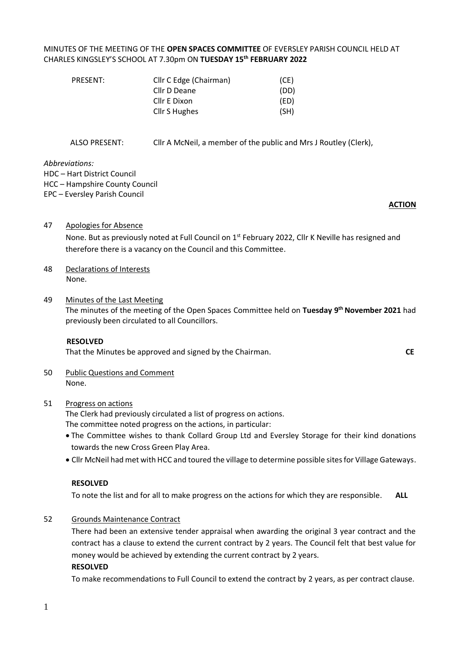## MINUTES OF THE MEETING OF THE **OPEN SPACES COMMITTEE** OF EVERSLEY PARISH COUNCIL HELD AT CHARLES KINGSLEY'S SCHOOL AT 7.30pm ON **TUESDAY 15th FEBRUARY 2022**

| PRESENT: | Cllr C Edge (Chairman) | (CE) |
|----------|------------------------|------|
|          | Cllr D Deane           | (DD) |
|          | Cllr E Dixon           | (ED) |
|          | Cllr S Hughes          | (SH) |
|          |                        |      |

ALSO PRESENT: Cllr A McNeil, a member of the public and Mrs J Routley (Clerk),

*Abbreviations:* 

HDC – Hart District Council

HCC – Hampshire County Council

EPC – Eversley Parish Council

#### **ACTION**

- 47 Apologies for Absence None. But as previously noted at Full Council on 1<sup>st</sup> February 2022, Cllr K Neville has resigned and therefore there is a vacancy on the Council and this Committee.
- 48 Declarations of Interests None.
- 49 Minutes of the Last Meeting The minutes of the meeting of the Open Spaces Committee held on **Tuesday 9 th November 2021** had previously been circulated to all Councillors.

#### **RESOLVED**

That the Minutes be approved and signed by the Chairman.**CE**

50 Public Questions and Comment None.

#### 51 Progress on actions

The Clerk had previously circulated a list of progress on actions.

The committee noted progress on the actions, in particular:

- The Committee wishes to thank Collard Group Ltd and Eversley Storage for their kind donations towards the new Cross Green Play Area.
- Cllr McNeil had met with HCC and toured the village to determine possible sites for Village Gateways.

#### **RESOLVED**

To note the list and for all to make progress on the actions for which they are responsible. **ALL**

52 Grounds Maintenance Contract

There had been an extensive tender appraisal when awarding the original 3 year contract and the contract has a clause to extend the current contract by 2 years. The Council felt that best value for money would be achieved by extending the current contract by 2 years.

#### **RESOLVED**

To make recommendations to Full Council to extend the contract by 2 years, as per contract clause.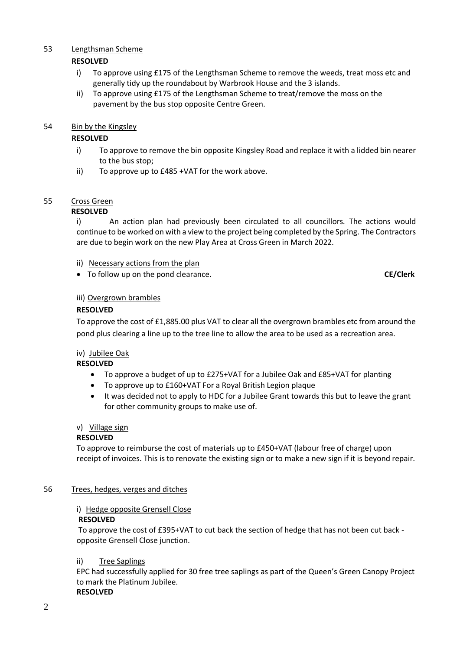## 53 Lengthsman Scheme

## **RESOLVED**

- i) To approve using £175 of the Lengthsman Scheme to remove the weeds, treat moss etc and generally tidy up the roundabout by Warbrook House and the 3 islands.
- ii) To approve using £175 of the Lengthsman Scheme to treat/remove the moss on the pavement by the bus stop opposite Centre Green.

## 54 Bin by the Kingsley

## **RESOLVED**

- i) To approve to remove the bin opposite Kingsley Road and replace it with a lidded bin nearer to the bus stop;
- ii) To approve up to £485 +VAT for the work above.

## 55 Cross Green

## **RESOLVED**

i) An action plan had previously been circulated to all councillors. The actions would continue to be worked on with a view to the project being completed by the Spring. The Contractors are due to begin work on the new Play Area at Cross Green in March 2022.

- ii) Necessary actions from the plan
- To follow up on the pond clearance. **CE/Clerk**

## iii) Overgrown brambles

## **RESOLVED**

To approve the cost of £1,885.00 plus VAT to clear all the overgrown brambles etc from around the pond plus clearing a line up to the tree line to allow the area to be used as a recreation area.

## iv) Jubilee Oak

#### **RESOLVED**

- To approve a budget of up to £275+VAT for a Jubilee Oak and £85+VAT for planting
- To approve up to £160+VAT For a Royal British Legion plaque
- It was decided not to apply to HDC for a Jubilee Grant towards this but to leave the grant for other community groups to make use of.

#### v) Village sign

#### **RESOLVED**

To approve to reimburse the cost of materials up to £450+VAT (labour free of charge) upon receipt of invoices. This is to renovate the existing sign or to make a new sign if it is beyond repair.

#### 56 Trees, hedges, verges and ditches

#### i) Hedge opposite Grensell Close

#### **RESOLVED**

To approve the cost of £395+VAT to cut back the section of hedge that has not been cut back opposite Grensell Close junction.

#### ii) Tree Saplings

EPC had successfully applied for 30 free tree saplings as part of the Queen's Green Canopy Project to mark the Platinum Jubilee. **RESOLVED**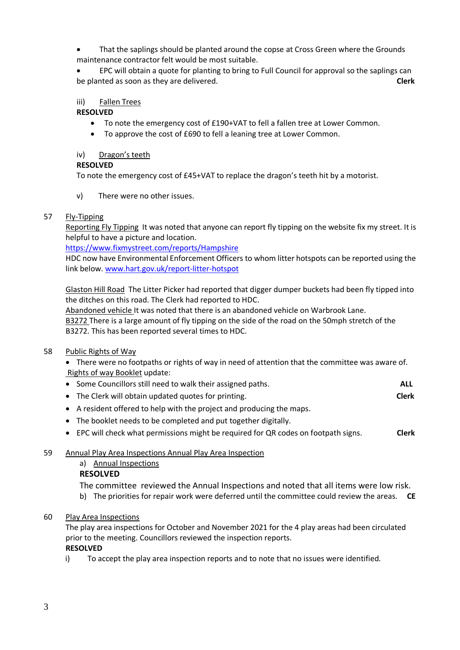• That the saplings should be planted around the copse at Cross Green where the Grounds maintenance contractor felt would be most suitable.

• EPC will obtain a quote for planting to bring to Full Council for approval so the saplings can be planted as soon as they are delivered. **Clerk**

## iii) Fallen Trees

## **RESOLVED**

- To note the emergency cost of £190+VAT to fell a fallen tree at Lower Common.
- To approve the cost of £690 to fell a leaning tree at Lower Common.

## iv) Dragon's teeth

## **RESOLVED**

To note the emergency cost of £45+VAT to replace the dragon's teeth hit by a motorist.

v) There were no other issues.

## 57 Fly-Tipping

Reporting Fly Tipping It was noted that anyone can report fly tipping on the website fix my street. It is helpful to have a picture and location.

<https://www.fixmystreet.com/reports/Hampshire>

HDC now have Environmental Enforcement Officers to whom litter hotspots can be reported using the link below. [www.hart.gov.uk/report-litter-hotspot](http://www.hart.gov.uk/report-litter-hotspot)

Glaston Hill Road The Litter Picker had reported that digger dumper buckets had been fly tipped into the ditches on this road. The Clerk had reported to HDC.

Abandoned vehicle It was noted that there is an abandoned vehicle on Warbrook Lane. B3272 There is a large amount of fly tipping on the side of the road on the 50mph stretch of the B3272. This has been reported several times to HDC.

## 58 Public Rights of Way

• There were no footpaths or rights of way in need of attention that the committee was aware of. Rights of way Booklet update:

|  | • Some Councillors still need to walk their assigned paths. | ALL |
|--|-------------------------------------------------------------|-----|
|--|-------------------------------------------------------------|-----|

- The Clerk will obtain updated quotes for printing. **Clerk**
- A resident offered to help with the project and producing the maps.
- The booklet needs to be completed and put together digitally.
- EPC will check what permissions might be required for QR codes on footpath signs. **Clerk**

## 59 Annual Play Area Inspections Annual Play Area Inspection

a) Annual Inspections

## **RESOLVED**

- The committee reviewed the Annual Inspections and noted that all items were low risk.
- b) The priorities for repair work were deferred until the committee could review the areas. **CE**
- 60 Play Area Inspections

The play area inspections for October and November 2021 for the 4 play areas had been circulated prior to the meeting. Councillors reviewed the inspection reports. **RESOLVED**

i) To accept the play area inspection reports and to note that no issues were identified.